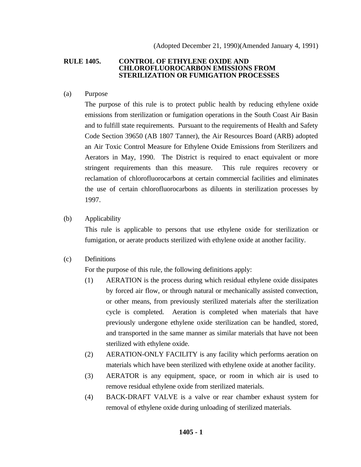## **RULE 1405. CONTROL OF ETHYLENE OXIDE AND CHLOROFLUOROCARBON EMISSIONS FROM STERILIZATION OR FUMIGATION PROCESSES**

(a) Purpose

The purpose of this rule is to protect public health by reducing ethylene oxide emissions from sterilization or fumigation operations in the South Coast Air Basin and to fulfill state requirements. Pursuant to the requirements of Health and Safety Code Section 39650 (AB 1807 Tanner), the Air Resources Board (ARB) adopted an Air Toxic Control Measure for Ethylene Oxide Emissions from Sterilizers and Aerators in May, 1990. The District is required to enact equivalent or more stringent requirements than this measure. This rule requires recovery or reclamation of chlorofluorocarbons at certain commercial facilities and eliminates the use of certain chlorofluorocarbons as diluents in sterilization processes by 1997.

(b) Applicability

This rule is applicable to persons that use ethylene oxide for sterilization or fumigation, or aerate products sterilized with ethylene oxide at another facility.

(c) Definitions

For the purpose of this rule, the following definitions apply:

- (1) AERATION is the process during which residual ethylene oxide dissipates by forced air flow, or through natural or mechanically assisted convection, or other means, from previously sterilized materials after the sterilization cycle is completed. Aeration is completed when materials that have previously undergone ethylene oxide sterilization can be handled, stored, and transported in the same manner as similar materials that have not been sterilized with ethylene oxide.
- (2) AERATION-ONLY FACILITY is any facility which performs aeration on materials which have been sterilized with ethylene oxide at another facility.
- (3) AERATOR is any equipment, space, or room in which air is used to remove residual ethylene oxide from sterilized materials.
- (4) BACK-DRAFT VALVE is a valve or rear chamber exhaust system for removal of ethylene oxide during unloading of sterilized materials.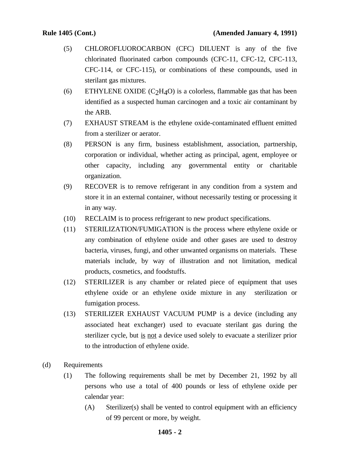- (5) CHLOROFLUOROCARBON (CFC) DILUENT is any of the five chlorinated fluorinated carbon compounds (CFC-11, CFC-12, CFC-113, CFC-114, or CFC-115), or combinations of these compounds, used in sterilant gas mixtures.
- (6) ETHYLENE OXIDE  $(C_2H_4O)$  is a colorless, flammable gas that has been identified as a suspected human carcinogen and a toxic air contaminant by the ARB.
- (7) EXHAUST STREAM is the ethylene oxide-contaminated effluent emitted from a sterilizer or aerator.
- (8) PERSON is any firm, business establishment, association, partnership, corporation or individual, whether acting as principal, agent, employee or other capacity, including any governmental entity or charitable organization.
- (9) RECOVER is to remove refrigerant in any condition from a system and store it in an external container, without necessarily testing or processing it in any way.
- (10) RECLAIM is to process refrigerant to new product specifications.
- (11) STERILIZATION/FUMIGATION is the process where ethylene oxide or any combination of ethylene oxide and other gases are used to destroy bacteria, viruses, fungi, and other unwanted organisms on materials. These materials include, by way of illustration and not limitation, medical products, cosmetics, and foodstuffs.
- (12) STERILIZER is any chamber or related piece of equipment that uses ethylene oxide or an ethylene oxide mixture in any sterilization or fumigation process.
- (13) STERILIZER EXHAUST VACUUM PUMP is a device (including any associated heat exchanger) used to evacuate sterilant gas during the sterilizer cycle, but is not a device used solely to evacuate a sterilizer prior to the introduction of ethylene oxide.
- (d) Requirements
	- (1) The following requirements shall be met by December 21, 1992 by all persons who use a total of 400 pounds or less of ethylene oxide per calendar year:
		- (A) Sterilizer(s) shall be vented to control equipment with an efficiency of 99 percent or more, by weight.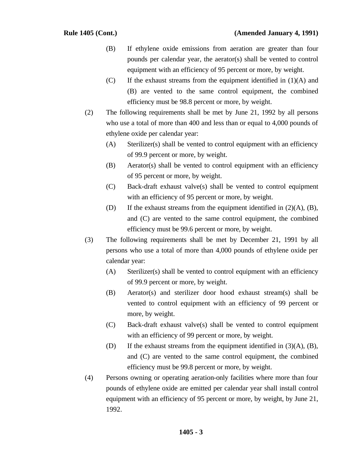- (B) If ethylene oxide emissions from aeration are greater than four pounds per calendar year, the aerator(s) shall be vented to control equipment with an efficiency of 95 percent or more, by weight.
- (C) If the exhaust streams from the equipment identified in (1)(A) and (B) are vented to the same control equipment, the combined efficiency must be 98.8 percent or more, by weight.
- (2) The following requirements shall be met by June 21, 1992 by all persons who use a total of more than 400 and less than or equal to 4,000 pounds of ethylene oxide per calendar year:
	- (A) Sterilizer(s) shall be vented to control equipment with an efficiency of 99.9 percent or more, by weight.
	- (B) Aerator(s) shall be vented to control equipment with an efficiency of 95 percent or more, by weight.
	- (C) Back-draft exhaust valve(s) shall be vented to control equipment with an efficiency of 95 percent or more, by weight.
	- (D) If the exhaust streams from the equipment identified in (2)(A), (B), and (C) are vented to the same control equipment, the combined efficiency must be 99.6 percent or more, by weight.
- (3) The following requirements shall be met by December 21, 1991 by all persons who use a total of more than 4,000 pounds of ethylene oxide per calendar year:
	- (A) Sterilizer(s) shall be vented to control equipment with an efficiency of 99.9 percent or more, by weight.
	- (B) Aerator(s) and sterilizer door hood exhaust stream(s) shall be vented to control equipment with an efficiency of 99 percent or more, by weight.
	- (C) Back-draft exhaust valve(s) shall be vented to control equipment with an efficiency of 99 percent or more, by weight.
	- (D) If the exhaust streams from the equipment identified in (3)(A), (B), and (C) are vented to the same control equipment, the combined efficiency must be 99.8 percent or more, by weight.
- (4) Persons owning or operating aeration-only facilities where more than four pounds of ethylene oxide are emitted per calendar year shall install control equipment with an efficiency of 95 percent or more, by weight, by June 21, 1992.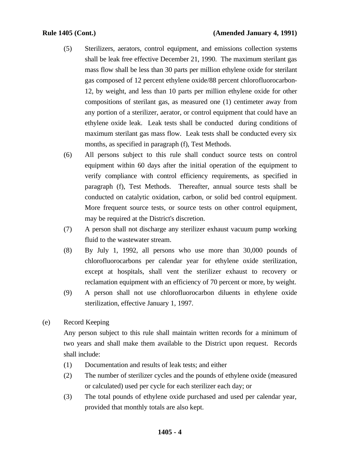- (5) Sterilizers, aerators, control equipment, and emissions collection systems shall be leak free effective December 21, 1990. The maximum sterilant gas mass flow shall be less than 30 parts per million ethylene oxide for sterilant gas composed of 12 percent ethylene oxide/88 percent chlorofluorocarbon-12, by weight, and less than 10 parts per million ethylene oxide for other compositions of sterilant gas, as measured one (1) centimeter away from any portion of a sterilizer, aerator, or control equipment that could have an ethylene oxide leak. Leak tests shall be conducted during conditions of maximum sterilant gas mass flow. Leak tests shall be conducted every six months, as specified in paragraph (f), Test Methods.
- (6) All persons subject to this rule shall conduct source tests on control equipment within 60 days after the initial operation of the equipment to verify compliance with control efficiency requirements, as specified in paragraph (f), Test Methods. Thereafter, annual source tests shall be conducted on catalytic oxidation, carbon, or solid bed control equipment. More frequent source tests, or source tests on other control equipment, may be required at the District's discretion.
- (7) A person shall not discharge any sterilizer exhaust vacuum pump working fluid to the wastewater stream.
- (8) By July 1, 1992, all persons who use more than 30,000 pounds of chlorofluorocarbons per calendar year for ethylene oxide sterilization, except at hospitals, shall vent the sterilizer exhaust to recovery or reclamation equipment with an efficiency of 70 percent or more, by weight.
- (9) A person shall not use chlorofluorocarbon diluents in ethylene oxide sterilization, effective January 1, 1997.
- (e) Record Keeping

Any person subject to this rule shall maintain written records for a minimum of two years and shall make them available to the District upon request. Records shall include:

- (1) Documentation and results of leak tests; and either
- (2) The number of sterilizer cycles and the pounds of ethylene oxide (measured or calculated) used per cycle for each sterilizer each day; or
- (3) The total pounds of ethylene oxide purchased and used per calendar year, provided that monthly totals are also kept.